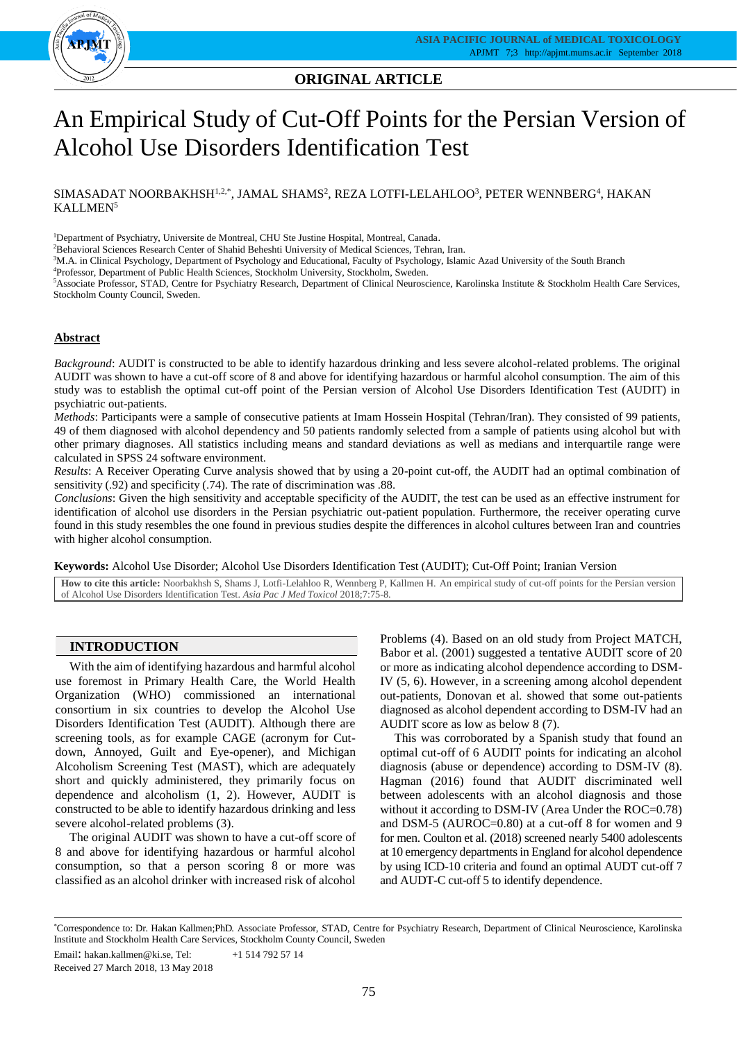

# **ORIGINAL ARTICLE ORIGINAL ARTICLE**

# An Empirical Study of Cut-Off Points for the Persian Version of Alcohol Use Disorders Identification Test

# $\rm SIMASADAT\ NOORBAKHSH^{1,2,*}, JAMAL\ SHAMS^2,\, REZA\ LOTFI-LELAHLOO^3,\, PETER\ WENNBERG^4,\, HAKAN$ KALLMEN<sup>5</sup>

<sup>1</sup>Department of Psychiatry, Universite de Montreal, CHU Ste Justine Hospital, Montreal, Canada.

<sup>2</sup>Behavioral Sciences Research Center of Shahid Beheshti University of Medical Sciences, Tehran, Iran.

<sup>3</sup>M.A. in Clinical Psychology, Department of Psychology and Educational, Faculty of Psychology, Islamic Azad University of the South Branch

<sup>4</sup>Professor, Department of Public Health Sciences, Stockholm University, Stockholm, Sweden.

<sup>5</sup>Associate Professor, STAD, Centre for Psychiatry Research, Department of Clinical Neuroscience, Karolinska Institute & Stockholm Health Care Services, Stockholm County Council, Sweden.

# **Abstract**

*Background*: AUDIT is constructed to be able to identify hazardous drinking and less severe alcohol-related problems. The original AUDIT was shown to have a cut-off score of 8 and above for identifying hazardous or harmful alcohol consumption. The aim of this study was to establish the optimal cut-off point of the Persian version of Alcohol Use Disorders Identification Test (AUDIT) in psychiatric out-patients.

*Methods*: Participants were a sample of consecutive patients at Imam Hossein Hospital (Tehran/Iran). They consisted of 99 patients, 49 of them diagnosed with alcohol dependency and 50 patients randomly selected from a sample of patients using alcohol but with other primary diagnoses. All statistics including means and standard deviations as well as medians and interquartile range were calculated in SPSS 24 software environment.

*Results*: A Receiver Operating Curve analysis showed that by using a 20-point cut-off, the AUDIT had an optimal combination of sensitivity (.92) and specificity (.74). The rate of discrimination was .88.

*Conclusions*: Given the high sensitivity and acceptable specificity of the AUDIT, the test can be used as an effective instrument for identification of alcohol use disorders in the Persian psychiatric out-patient population. Furthermore, the receiver operating curve found in this study resembles the one found in previous studies despite the differences in alcohol cultures between Iran and countries with higher alcohol consumption.

**Keywords:** Alcohol Use Disorder; Alcohol Use Disorders Identification Test (AUDIT); Cut-Off Point; Iranian Version

**How to cite this article:** Noorbakhsh S, Shams J, Lotfi-Lelahloo R, Wennberg P, Kallmen H. An empirical study of cut-off points for the Persian version of Alcohol Use Disorders Identification Test. *Asia Pac J Med Toxicol* 2018;7:75-8.

# **INTRODUCTION**

With the aim of identifying hazardous and harmful alcohol use foremost in Primary Health Care, the World Health Organization (WHO) commissioned an international consortium in six countries to develop the Alcohol Use Disorders Identification Test (AUDIT). Although there are screening tools, as for example CAGE (acronym for Cutdown, Annoyed, Guilt and Eye-opener), and Michigan Alcoholism Screening Test (MAST), which are adequately short and quickly administered, they primarily focus on dependence and alcoholism (1, 2). However, AUDIT is constructed to be able to identify hazardous drinking and less severe alcohol-related problems (3).

The original AUDIT was shown to have a cut-off score of 8 and above for identifying hazardous or harmful alcohol consumption, so that a person scoring 8 or more was classified as an alcohol drinker with increased risk of alcohol

Problems (4). Based on an old study from Project MATCH, Babor et al. (2001) suggested a tentative AUDIT score of 20 or more as indicating alcohol dependence according to DSM-IV (5, 6). However, in a screening among alcohol dependent out-patients, Donovan et al. showed that some out-patients diagnosed as alcohol dependent according to DSM-IV had an AUDIT score as low as below 8 (7).

This was corroborated by a Spanish study that found an optimal cut-off of 6 AUDIT points for indicating an alcohol diagnosis (abuse or dependence) according to DSM-IV (8). Hagman (2016) found that AUDIT discriminated well between adolescents with an alcohol diagnosis and those without it according to DSM-IV (Area Under the ROC=0.78) and DSM-5 (AUROC=0.80) at a cut-off 8 for women and 9 for men. Coulton et al. (2018) screened nearly 5400 adolescents at 10 emergency departments in England for alcohol dependence by using ICD-10 criteria and found an optimal AUDT cut-off 7 and AUDT-C cut-off 5 to identify dependence.

<sup>\*</sup>Correspondence to: Dr. Hakan Kallmen;PhD. Associate Professor, STAD, Centre for Psychiatry Research, Department of Clinical Neuroscience, Karolinska Institute and Stockholm Health Care Services, Stockholm County Council, Sweden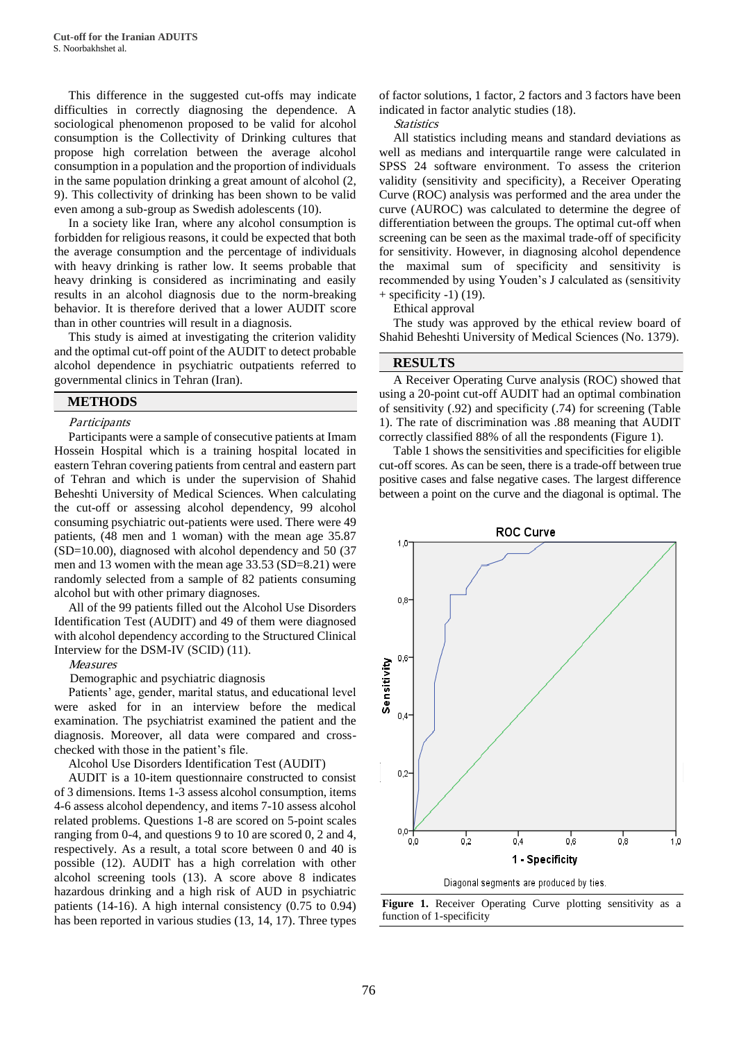This difference in the suggested cut-offs may indicate difficulties in correctly diagnosing the dependence. A sociological phenomenon proposed to be valid for alcohol consumption is the Collectivity of Drinking cultures that propose high correlation between the average alcohol consumption in a population and the proportion of individuals in the same population drinking a great amount of alcohol (2, 9). This collectivity of drinking has been shown to be valid even among a sub-group as Swedish adolescents (10).

In a society like Iran, where any alcohol consumption is forbidden for religious reasons, it could be expected that both the average consumption and the percentage of individuals with heavy drinking is rather low. It seems probable that heavy drinking is considered as incriminating and easily results in an alcohol diagnosis due to the norm-breaking behavior. It is therefore derived that a lower AUDIT score than in other countries will result in a diagnosis.

This study is aimed at investigating the criterion validity and the optimal cut-off point of the AUDIT to detect probable alcohol dependence in psychiatric outpatients referred to governmental clinics in Tehran (Iran).

## **METHODS**

#### **Participants**

Participants were a sample of consecutive patients at Imam Hossein Hospital which is a training hospital located in eastern Tehran covering patients from central and eastern part of Tehran and which is under the supervision of Shahid Beheshti University of Medical Sciences. When calculating the cut-off or assessing alcohol dependency, 99 alcohol consuming psychiatric out-patients were used. There were 49 patients, (48 men and 1 woman) with the mean age 35.87 (SD=10.00), diagnosed with alcohol dependency and 50 (37 men and 13 women with the mean age 33.53 (SD=8.21) were randomly selected from a sample of 82 patients consuming alcohol but with other primary diagnoses.

All of the 99 patients filled out the Alcohol Use Disorders Identification Test (AUDIT) and 49 of them were diagnosed with alcohol dependency according to the Structured Clinical Interview for the DSM-IV (SCID) (11).

Measures

Demographic and psychiatric diagnosis

Patients' age, gender, marital status, and educational level were asked for in an interview before the medical examination. The psychiatrist examined the patient and the diagnosis. Moreover, all data were compared and crosschecked with those in the patient's file.

Alcohol Use Disorders Identification Test (AUDIT)

AUDIT is a 10-item questionnaire constructed to consist of 3 dimensions. Items 1-3 assess alcohol consumption, items 4-6 assess alcohol dependency, and items 7-10 assess alcohol related problems. Questions 1-8 are scored on 5-point scales ranging from 0-4, and questions 9 to 10 are scored 0, 2 and 4, respectively. As a result, a total score between 0 and 40 is possible (12). AUDIT has a high correlation with other alcohol screening tools (13). A score above 8 indicates hazardous drinking and a high risk of AUD in psychiatric patients (14-16). A high internal consistency (0.75 to 0.94) has been reported in various studies (13, 14, 17). Three types

of factor solutions, 1 factor, 2 factors and 3 factors have been indicated in factor analytic studies (18).

**Statistics** 

All statistics including means and standard deviations as well as medians and interquartile range were calculated in SPSS 24 software environment. To assess the criterion validity (sensitivity and specificity), a Receiver Operating Curve (ROC) analysis was performed and the area under the curve (AUROC) was calculated to determine the degree of differentiation between the groups. The optimal cut-off when screening can be seen as the maximal trade-off of specificity for sensitivity. However, in diagnosing alcohol dependence the maximal sum of specificity and sensitivity is recommended by using Youden's J calculated as (sensitivity  $+$  specificity  $-1$ ) (19).

Ethical approval

The study was approved by the ethical review board of Shahid Beheshti University of Medical Sciences (No. 1379).

#### **RESULTS**

A Receiver Operating Curve analysis (ROC) showed that using a 20-point cut-off AUDIT had an optimal combination of sensitivity (.92) and specificity (.74) for screening (Table 1). The rate of discrimination was .88 meaning that AUDIT correctly classified 88% of all the respondents (Figure 1).

Table 1 shows the sensitivities and specificities for eligible cut-off scores. As can be seen, there is a trade-off between true positive cases and false negative cases. The largest difference between a point on the curve and the diagonal is optimal. The



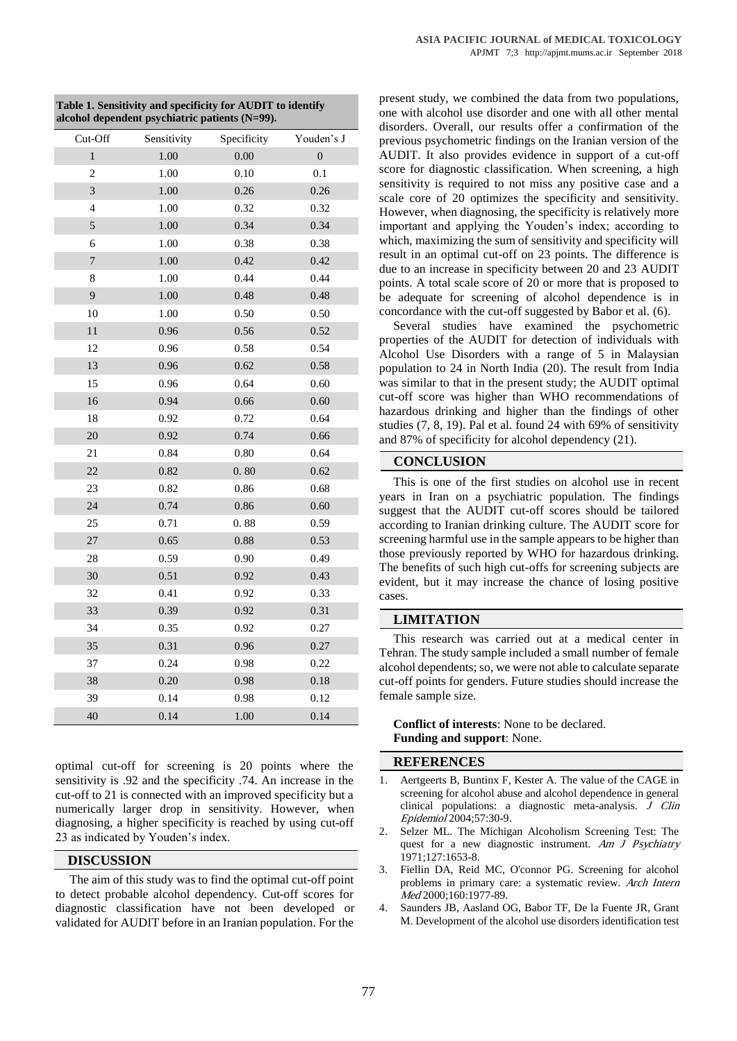| Cut-Off                 | Sensitivity | Specificity | Youden's J       |
|-------------------------|-------------|-------------|------------------|
| $\,1$                   | 1.00        | 0.00        | $\boldsymbol{0}$ |
| $\overline{c}$          | 1.00        | 0.10        | 0.1              |
| 3                       | 1.00        | 0.26        | 0.26             |
| $\overline{\mathbf{4}}$ | 1.00        | 0.32        | 0.32             |
| 5                       | 1.00        | 0.34        | 0.34             |
| 6                       | 1.00        | 0.38        | 0.38             |
| $\sqrt{ }$              | 1.00        | 0.42        | 0.42             |
| 8                       | 1.00        | 0.44        | 0.44             |
| 9                       | 1.00        | 0.48        | 0.48             |
| $10\,$                  | 1.00        | 0.50        | 0.50             |
| 11                      | 0.96        | 0.56        | 0.52             |
| 12                      | 0.96        | 0.58        | 0.54             |
| 13                      | 0.96        | 0.62        | 0.58             |
| 15                      | 0.96        | 0.64        | 0.60             |
| 16                      | 0.94        | 0.66        | 0.60             |
| 18                      | 0.92        | 0.72        | 0.64             |
| 20                      | 0.92        | 0.74        | 0.66             |
| 21                      | 0.84        | 0.80        | 0.64             |
| $22\,$                  | 0.82        | 0.80        | 0.62             |
| 23                      | 0.82        | 0.86        | 0.68             |
| 24                      | 0.74        | 0.86        | 0.60             |
| 25                      | 0.71        | 0.88        | 0.59             |
| 27                      | 0.65        | $0.88\,$    | 0.53             |
| 28                      | 0.59        | 0.90        | 0.49             |
| 30                      | 0.51        | 0.92        | 0.43             |
| 32                      | 0.41        | 0.92        | 0.33             |
| 33                      | 0.39        | 0.92        | 0.31             |
| 34                      | 0.35        | 0.92        | 0.27             |
| 35                      | 0.31        | 0.96        | 0.27             |
| 37                      | 0.24        | 0.98        | 0.22             |
| 38                      | 0.20        | 0.98        | 0.18             |
| 39                      | 0.14        | 0.98        | 0.12             |
| 40                      | 0.14        | 1.00        | 0.14             |

**Table 1. Sensitivity and specificity for AUDIT to identify alcohol dependent psychiatric patients (N=99).**

optimal cut-off for screening is 20 points where the sensitivity is .92 and the specificity .74. An increase in the cut-off to 21 is connected with an improved specificity but a numerically larger drop in sensitivity. However, when diagnosing, a higher specificity is reached by using cut-off 23 as indicated by Youden's index.

# **DISCUSSION**

The aim of this study was to find the optimal cut-off point to detect probable alcohol dependency. Cut-off scores for diagnostic classification have not been developed or validated for AUDIT before in an Iranian population. For the

present study, we combined the data from two populations, one with alcohol use disorder and one with all other mental disorders. Overall, our results offer a confirmation of the previous psychometric findings on the Iranian version of the AUDIT. It also provides evidence in support of a cut-off score for diagnostic classification. When screening, a high sensitivity is required to not miss any positive case and a scale core of 20 optimizes the specificity and sensitivity. However, when diagnosing, the specificity is relatively more important and applying the Youden's index; according to which, maximizing the sum of sensitivity and specificity will result in an optimal cut-off on 23 points. The difference is due to an increase in specificity between 20 and 23 AUDIT points. A total scale score of 20 or more that is proposed to be adequate for screening of alcohol dependence is in concordance with the cut-off suggested by Babor et al. (6).

Several studies have examined the psychometric properties of the AUDIT for detection of individuals with Alcohol Use Disorders with a range of 5 in Malaysian population to 24 in North India (20). The result from India was similar to that in the present study; the AUDIT optimal cut-off score was higher than WHO recommendations of hazardous drinking and higher than the findings of other studies (7, 8, 19). Pal et al. found 24 with 69% of sensitivity and 87% of specificity for alcohol dependency (21).

## **CONCLUSION**

This is one of the first studies on alcohol use in recent years in Iran on a psychiatric population. The findings suggest that the AUDIT cut-off scores should be tailored according to Iranian drinking culture. The AUDIT score for screening harmful use in the sample appears to be higher than those previously reported by WHO for hazardous drinking. The benefits of such high cut-offs for screening subjects are evident, but it may increase the chance of losing positive cases.

#### **LIMITATION**

This research was carried out at a medical center in Tehran. The study sample included a small number of female alcohol dependents; so, we were not able to calculate separate cut-off points for genders. Future studies should increase the female sample size.

**Conflict of interests**: None to be declared. **Funding and support**: None.

## **REFERENCES**

- 1. Aertgeerts B, Buntinx F, Kester A. The value of the CAGE in screening for alcohol abuse and alcohol dependence in general clinical populations: a diagnostic meta-analysis. J Clin Epidemiol 2004;57:30-9.
- 2. Selzer ML. The Michigan Alcoholism Screening Test: The quest for a new diagnostic instrument. Am J Psychiatry 1971;127:1653-8.
- 3. Fiellin DA, Reid MC, O'connor PG. Screening for alcohol problems in primary care: a systematic review. Arch Intern Med 2000;160:1977-89.
- 4. Saunders JB, Aasland OG, Babor TF, De la Fuente JR, Grant M. Development of the alcohol use disorders identification test